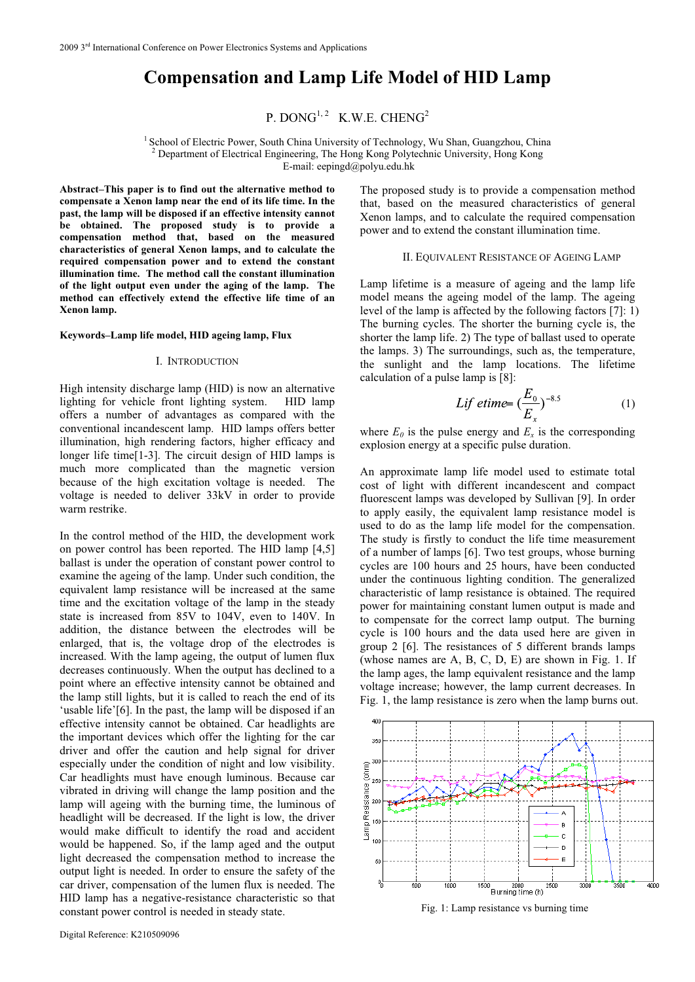# **Compensation and Lamp Life Model of HID Lamp**

P. DONG<sup>1, 2</sup> K.W.E. CHENG<sup>2</sup>

1 School of Electric Power, South China University of Technology, Wu Shan, Guangzhou, China 2 Department of Electrical Engineering, The Hong Kong Polytechnic University, Hong Kong E-mail: eepingd@polyu.edu.hk

**Abstract–This paper is to find out the alternative method to compensate a Xenon lamp near the end of its life time. In the past, the lamp will be disposed if an effective intensity cannot be obtained. The proposed study is to provide a compensation method that, based on the measured characteristics of general Xenon lamps, and to calculate the required compensation power and to extend the constant illumination time. The method call the constant illumination of the light output even under the aging of the lamp. The method can effectively extend the effective life time of an Xenon lamp.** 

### **Keywords–Lamp life model, HID ageing lamp, Flux**

## I. INTRODUCTION

High intensity discharge lamp (HID) is now an alternative lighting for vehicle front lighting system. HID lamp offers a number of advantages as compared with the conventional incandescent lamp. HID lamps offers better illumination, high rendering factors, higher efficacy and longer life time[1-3]. The circuit design of HID lamps is much more complicated than the magnetic version because of the high excitation voltage is needed. The voltage is needed to deliver 33kV in order to provide warm restrike.

In the control method of the HID, the development work on power control has been reported. The HID lamp [4,5] ballast is under the operation of constant power control to examine the ageing of the lamp. Under such condition, the equivalent lamp resistance will be increased at the same time and the excitation voltage of the lamp in the steady state is increased from 85V to 104V, even to 140V. In addition, the distance between the electrodes will be enlarged, that is, the voltage drop of the electrodes is increased. With the lamp ageing, the output of lumen flux decreases continuously. When the output has declined to a point where an effective intensity cannot be obtained and the lamp still lights, but it is called to reach the end of its 'usable life'[6]. In the past, the lamp will be disposed if an effective intensity cannot be obtained. Car headlights are the important devices which offer the lighting for the car driver and offer the caution and help signal for driver especially under the condition of night and low visibility. Car headlights must have enough luminous. Because car vibrated in driving will change the lamp position and the lamp will ageing with the burning time, the luminous of headlight will be decreased. If the light is low, the driver would make difficult to identify the road and accident would be happened. So, if the lamp aged and the output light decreased the compensation method to increase the output light is needed. In order to ensure the safety of the car driver, compensation of the lumen flux is needed. The HID lamp has a negative-resistance characteristic so that constant power control is needed in steady state.

The proposed study is to provide a compensation method that, based on the measured characteristics of general Xenon lamps, and to calculate the required compensation power and to extend the constant illumination time.

# II. EQUIVALENT RESISTANCE OF AGEING LAMP

Lamp lifetime is a measure of ageing and the lamp life model means the ageing model of the lamp. The ageing level of the lamp is affected by the following factors [7]: 1) The burning cycles. The shorter the burning cycle is, the shorter the lamp life. 2) The type of ballast used to operate the lamps. 3) The surroundings, such as, the temperature, the sunlight and the lamp locations. The lifetime calculation of a pulse lamp is [8]:

$$
Lif \text{ etime} = \left(\frac{E_0}{E_x}\right)^{-8.5} \tag{1}
$$

where  $E_0$  is the pulse energy and  $E_x$  is the corresponding explosion energy at a specific pulse duration.

An approximate lamp life model used to estimate total cost of light with different incandescent and compact fluorescent lamps was developed by Sullivan [9]. In order to apply easily, the equivalent lamp resistance model is used to do as the lamp life model for the compensation. The study is firstly to conduct the life time measurement of a number of lamps [6]. Two test groups, whose burning cycles are 100 hours and 25 hours, have been conducted under the continuous lighting condition. The generalized characteristic of lamp resistance is obtained. The required power for maintaining constant lumen output is made and to compensate for the correct lamp output. The burning cycle is 100 hours and the data used here are given in group 2 [6]. The resistances of 5 different brands lamps (whose names are A, B, C, D, E) are shown in Fig. 1. If the lamp ages, the lamp equivalent resistance and the lamp voltage increase; however, the lamp current decreases. In Fig. 1, the lamp resistance is zero when the lamp burns out.



Fig. 1: Lamp resistance vs burning time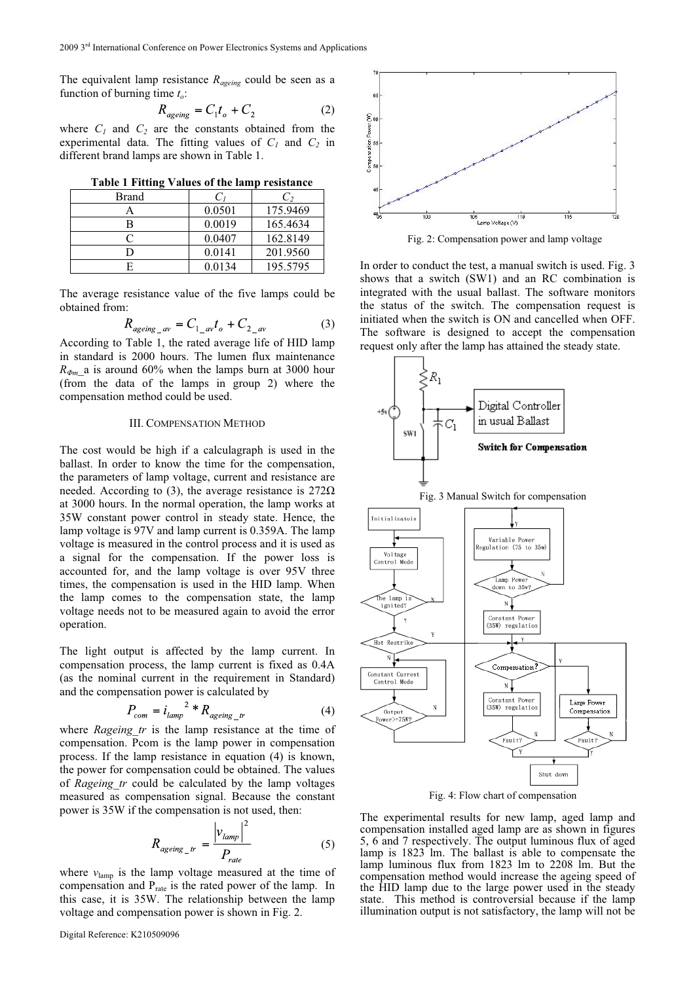The equivalent lamp resistance *Rageing* could be seen as a function of burning time *to*:

$$
R_{\text{ageing}} = C_1 t_o + C_2 \tag{2}
$$

where  $C_1$  and  $C_2$  are the constants obtained from the experimental data. The fitting values of  $C_1$  and  $C_2$  in different brand lamps are shown in Table 1.

| Table 1 Fitting Values of the lamp resistance |  |  |
|-----------------------------------------------|--|--|
|-----------------------------------------------|--|--|

| Brand |        | C,       |
|-------|--------|----------|
|       | 0.0501 | 175.9469 |
|       | 0.0019 | 165.4634 |
|       | 0.0407 | 162.8149 |
|       | 0.0141 | 201.9560 |
|       | 0.0134 | 195.5795 |

The average resistance value of the five lamps could be obtained from:

$$
R_{\text{aging av}} = C_{1\text{ av}}t_o + C_{2\text{ av}} \tag{3}
$$

According to Table 1, the rated average life of HID lamp in standard is 2000 hours. The lumen flux maintenance *R-*(from the data of the lamps in group 2) where the  $R_{\phi_m}$  a is around 60% when the lamps burn at 3000 hour compensation method could be used.

# III. COMPENSATION METHOD

The cost would be high if a calculagraph is used in the ballast. In order to know the time for the compensation, the parameters of lamp voltage, current and resistance are needed. According to (3), the average resistance is  $272\Omega$ at 3000 hours. In the normal operation, the lamp works at 35W constant power control in steady state. Hence, the lamp voltage is 97V and lamp current is 0.359A. The lamp voltage is measured in the control process and it is used as a signal for the compensation. If the power loss is accounted for, and the lamp voltage is over 95V three times, the compensation is used in the HID lamp. When the lamp comes to the compensation state, the lamp voltage needs not to be measured again to avoid the error operation.

The light output is affected by the lamp current. In compensation process, the lamp current is fixed as 0.4A (as the nominal current in the requirement in Standard) and the compensation power is calculated by

$$
P_{com} = i_{lamp}^{2} * R_{ageing}^{r}
$$
 (4)

where *Rageing tr* is the lamp resistance at the time of compensation. Pcom is the lamp power in compensation process. If the lamp resistance in equation (4) is known, the power for compensation could be obtained. The values of *Rageing\_tr* could be calculated by the lamp voltages measured as compensation signal. Because the constant power is 35W if the compensation is not used, then:

$$
R_{\text{ageing}}_{tr} = \frac{|v_{\text{lamp}}|^2}{P_{\text{rate}}}
$$
 (5)

where  $v_{\text{lamp}}$  is the lamp voltage measured at the time of compensation and  $P_{\text{rate}}$  is the rated power of the lamp. In this case, it is 35W. The relationship between the lamp voltage and compensation power is shown in Fig. 2.



Fig. 2: Compensation power and lamp voltage

In order to conduct the test, a manual switch is used. Fig. 3 shows that a switch (SW1) and an RC combination is integrated with the usual ballast. The software monitors the status of the switch. The compensation request is initiated when the switch is ON and cancelled when OFF. The software is designed to accept the compensation request only after the lamp has attained the steady state.



Fig. 4: Flow chart of compensation

The experimental results for new lamp, aged lamp and compensation installed aged lamp are as shown in figures 5, 6 and 7 respectively. The output luminous flux of aged lamp is 1823 lm. The ballast is able to compensate the lamp luminous flux from 1823 lm to 2208 lm. But the compensation method would increase the ageing speed of the HID lamp due to the large power used in the steady state. This method is controversial because if the lamp illumination output is not satisfactory, the lamp will not be